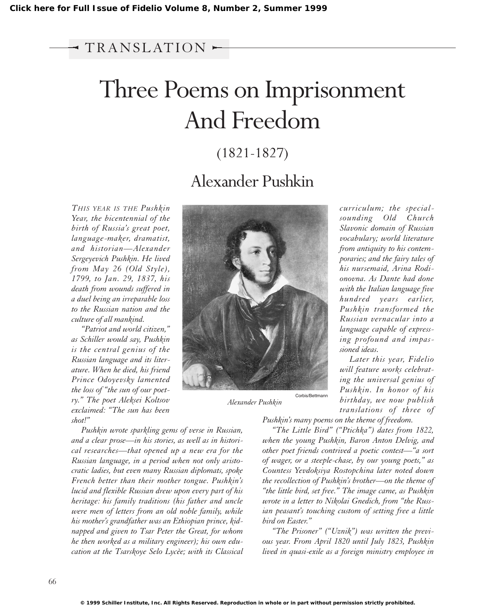## $\neg$  TRANSLATION  $\rightarrow$

# Three Poems on Imprisonment And Freedom

## (1821-1827)

# Alexander Pushkin

*THIS YEAR IS THE Pushkin Year, the bicentennial of the birth of Russia's great poet, language-maker, dramatist, and historian—Alexander Sergeyevich Pushkin. He lived from May 26 (Old Style), 1799, to Jan. 29, 1837, his death from wounds suffered in a duel being an irreparable loss to the Russian nation and the culture of all mankind.*

*"Patriot and world citizen," as Schiller would say, Pushkin is the central genius of the Russian language and its literature. When he died, his friend Prince Odoyevsky lamented the loss of "the sun of our poetry." The poet Aleksei Koltsov exclaimed: "The sun has been shot!"*

*Pushkin wrote sparkling gems of verse in Russian, and a clear prose—in his stories, as well as in historical researches—that opened up a new era for the Russian language, in a period when not only aristocratic ladies, but even many Russian diplomats, spoke French better than their mother tongue. Pushkin's lucid and flexible Russian drew upon every part of his heritage: his family traditions (his father and uncle were men of letters from an old noble family, while his mother's grandfather was an Ethiopian prince, kidnapped and given to Tsar Peter the Great, for whom he then worked as a military engineer); his own education at the Tsarskoye Selo Lycèe; with its Classical*



*Alexander Pushkin*

*curriculum; the specialsounding Old Church Slavonic domain of Russian vocabulary; world literature from antiquity to his contemporaries; and the fairy tales of his nursemaid, Arina Rodionovna. As Dante had done with the Italian language five hundred years earlier, Pushkin transformed the Russian vernacular into a language capable of expressing profound and impassioned ideas.*

*Later this year, Fidelio will feature works celebrating the universal genius of Pushkin. In honor of his birthday, we now publish translations of three of*

*Pushkin's many poems on the theme of freedom.*

*"The Little Bird" ("Ptichka") dates from 1822, when the young Pushkin, Baron Anton Delvig, and other poet friends contrived a poetic contest—"a sort of wager, or a steeple-chase, by our young poets," as Countess Yevdoksiya Rostopchina later noted down the recollection of Pushkin's brother—on the theme of "the little bird, set free." The image came, as Pushkin wrote in a letter to Nikolai Gnedich, from "the Russian peasant's touching custom of setting free a little bird on Easter."*

*"The Prisoner" ("Uznik") was written the previous year. From April 1820 until July 1823, Pushkin lived in quasi-exile as a foreign ministry employee in*